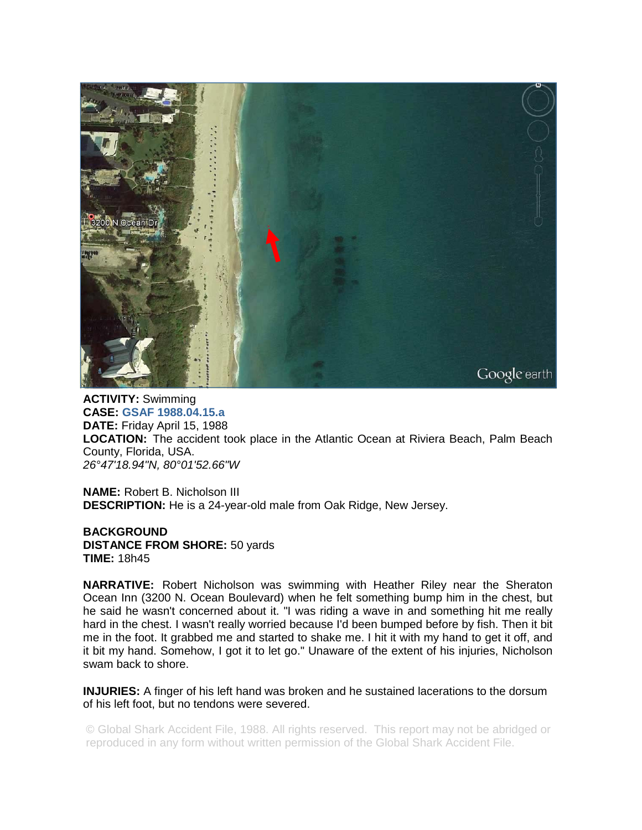

**ACTIVITY:** Swimming **CASE: GSAF 1988.04.15.a DATE:** Friday April 15, 1988 **LOCATION:** The accident took place in the Atlantic Ocean at Riviera Beach, Palm Beach County, Florida, USA. *26°47'18.94"N, 80°01'52.66"W* 

**NAME:** Robert B. Nicholson III **DESCRIPTION:** He is a 24-year-old male from Oak Ridge, New Jersey.

**BACKGROUND DISTANCE FROM SHORE:** 50 yards **TIME:** 18h45

**NARRATIVE:** Robert Nicholson was swimming with Heather Riley near the Sheraton Ocean Inn (3200 N. Ocean Boulevard) when he felt something bump him in the chest, but he said he wasn't concerned about it. "I was riding a wave in and something hit me really hard in the chest. I wasn't really worried because I'd been bumped before by fish. Then it bit me in the foot. It grabbed me and started to shake me. I hit it with my hand to get it off, and it bit my hand. Somehow, I got it to let go." Unaware of the extent of his injuries, Nicholson swam back to shore.

**INJURIES:** A finger of his left hand was broken and he sustained lacerations to the dorsum of his left foot, but no tendons were severed.

© Global Shark Accident File, 1988. All rights reserved. This report may not be abridged or reproduced in any form without written permission of the Global Shark Accident File.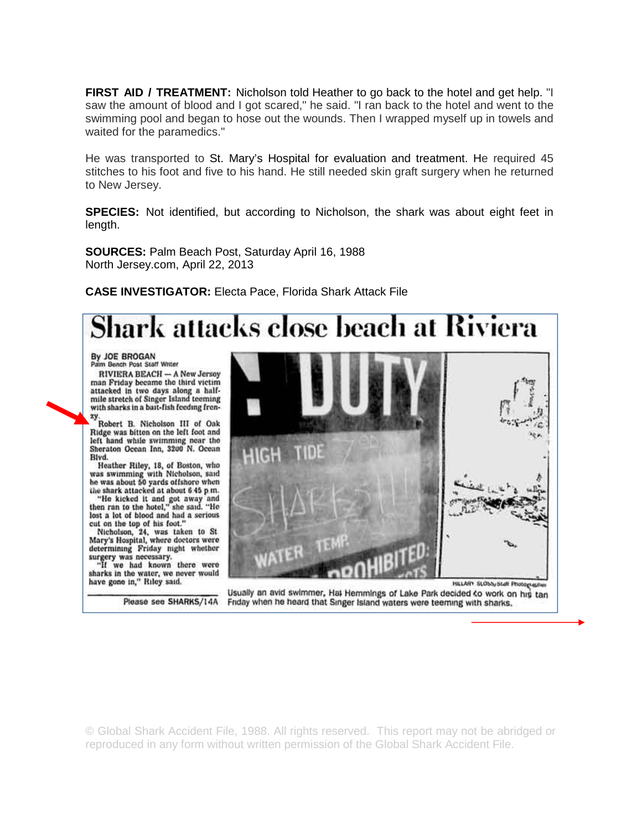**FIRST AID / TREATMENT:** Nicholson told Heather to go back to the hotel and get help. "I saw the amount of blood and I got scared," he said. "I ran back to the hotel and went to the swimming pool and began to hose out the wounds. Then I wrapped myself up in towels and waited for the paramedics."

He was transported to St. Mary's Hospital for evaluation and treatment. He required 45 stitches to his foot and five to his hand. He still needed skin graft surgery when he returned to New Jersey.

**SPECIES:** Not identified, but according to Nicholson, the shark was about eight feet in length.

**SOURCES:** Palm Beach Post, Saturday April 16, 1988 North Jersey.com, April 22, 2013

**CASE INVESTIGATOR:** Electa Pace, Florida Shark Attack File

# ark attacks close beach at Riviera

By JOE BROGAN Palm Bench Post Staff Writer

RIVIERA BEACH - A New Jersey man Friday became the third victim attacked in two days along a halfmile stretch of Singer Island teeming with sharks in a bait-fish feeding fren-

Robert B. Nicholson III of Oak Ridge was bitten on the left foot and left hand while swimming near the<br>Sheraton Ocean Inn, 3200 N. Ocean Blvd.

Heather Riley, 18, of Boston, who<br>was swimming with Nicholson, said<br>he was about 50 yards offshore when

the shark attacked at about 6.45 p.m.<br>"He kicked it and got away and then ran to the hotel," she said. "He lost a lot of blood and had a serious

cut on the top of his foot."<br>Nicholson, 24, was taken to St<br>Mary's Hospital, where doctors were determining Friday night whether surgery was necessary.<br>"If we had known there were

sharks in the water, we never would<br>have gone in," Riley said.

Please see SHARKS/14A



Usually an avid swimmer, Hat Hemmings of Lake Park decided to work on his tan Friday when he heard that Singer Island waters were teeming with sharks.

© Global Shark Accident File, 1988. All rights reserved. This report may not be abridged or reproduced in any form without written permission of the Global Shark Accident File.